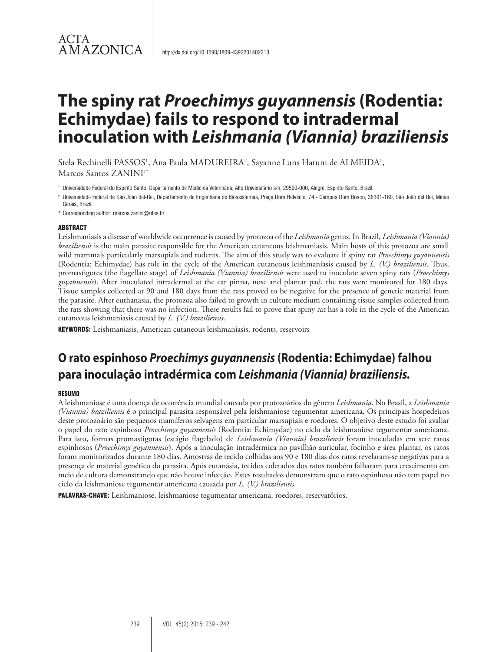# **The spiny rat** *Proechimys guyannensis* **(Rodentia: Echimydae) fails to respond to intradermal inoculation with** *Leishmania (Viannia) braziliensis*

Stela Rechinelli PASSOS<sup>1</sup>, Ana Paula MADUREIRA<sup>2</sup>, Sayanne Luns Hatum de ALMEIDA<sup>1</sup>, Marcos Santos ZANINI<sup>1\*</sup>

<sup>1</sup> Universidade Federal do Espírito Santo, Departamento de Medicina Veterinária, Alto Universitário s/n, 29500-000, Alegre, Espírito Santo, Brazil.

<sup>2</sup> Universidade Federal de São João del-Rei, Departamento de Engenharia de Biossistemas, Praça Dom Helvécio, 74 - Campus Dom Bosco, 36301-160, São João del Rei, Minas Gerais, Brazil.

\* Corresponding author: marcos.zanini@ufes.br

#### ABSTRACT

Leishmaniasis a disease of worldwide occurrence is caused by protozoa of the *Leishmania* genus. In Brazil, *Leishmania (Viannia) braziliensis* is the main parasite responsible for the American cutaneous leishmaniasis. Main hosts of this protozoa are small wild mammals particularly marsupials and rodents. The aim of this study was to evaluate if spiny rat *Proechimys guyannensis* (Rodentia: Echimydae) has role in the cycle of the American cutaneous leishmaniasis caused by *L. (V.) braziliensis*. Thus, promastigotes (the flagellate stage) of *Leishmania (Viannia) braziliensis* were used to inoculate seven spiny rats (*Proechimys guyannensis*). After inoculated intradermal at the ear pinna, nose and plantar pad, the rats were monitored for 180 days. Tissue samples collected at 90 and 180 days from the rats proved to be negative for the presence of genetic material from the parasite. After euthanasia, the protozoa also failed to growth in culture medium containing tissue samples collected from the rats showing that there was no infection. These results fail to prove that spiny rat has a role in the cycle of the American cutaneous leishmaniasis caused by *L. (V.) braziliensis*.

KEYWORDS: Leishmaniasis, American cutaneous leishmaniasis, rodents, reservoirs

# **O rato espinhoso** *Proechimys guyannensis* **(Rodentia: Echimydae) falhou para inoculação intradérmica com** *Leishmania (Viannia) braziliensis.*

#### RESUMO

A leishmaniose é uma doença de ocorrência mundial causada por protozoários do gênero *Leishmania*. No Brasil, a *Leishmania (Viannia) braziliensis* é o principal parasita responsável pela leishmaniose tegumentar americana. Os principais hospedeiros deste protozoário são pequenos mamíferos selvagens em particular marsupiais e roedores. O objetivo deste estudo foi avaliar o papel do rato espinhoso *Proechimys guyannensis* (Rodentia: Echimydae) no ciclo da leishmaniose tegumentar americana. Para isto, formas promastigotas (estágio flagelado) de *Leishmania (Viannia) braziliensis* foram inoculadas em sete ratos espinhosos (*Proechimys guyannensis*). Após a inoculação intradérmica no pavilhão auricular, focinho e área plantar, os ratos foram monitorizados durante 180 dias. Amostras de tecido colhidas aos 90 e 180 dias dos ratos revelaram-se negativas para a presença de material genético do parasita. Após eutanásia, tecidos coletados dos ratos também falharam para crescimento em meio de cultura demonstrando que não houve infecção. Estes resultados demonstram que o rato espinhoso não tem papel no ciclo da leishmaniose tegumentar americana causada por *L. (V.) braziliensis*.

PALAVRAS-CHAVE: Leishmaniose, leishmaniose tegumentar americana, roedores, reservatórios.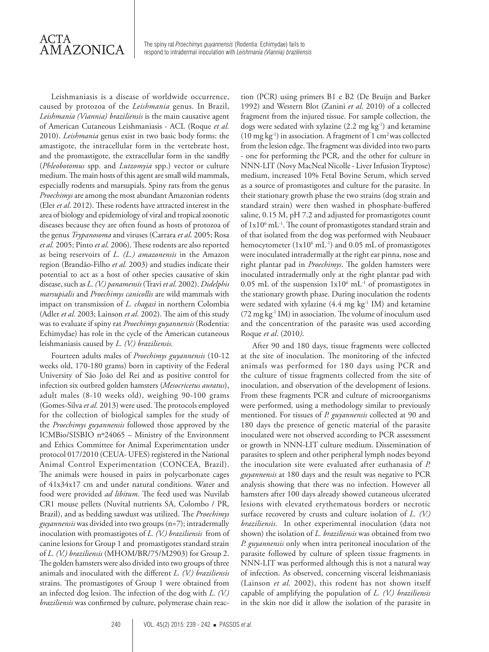Leishmaniasis is a disease of worldwide occurrence, caused by protozoa of the *Leishmania* genus. In Brazil, *Leishmania (Viannia) braziliensis* is the main causative agent of American Cutaneous Leishmaniasis - ACL (Roque *et al.* 2010). *Leishmania* genus exist in two basic body forms: the amastigote, the intracellular form in the vertebrate host, and the promastigote, the extracellular form in the sandfly (*Phleobotomus* spp. and *Lutzomyia* spp.) vector or culture medium. The main hosts of this agent are small wild mammals, especially rodents and marsupials. Spiny rats from the genus *Proechimys* are among the most abundant Amazonian rodents (Eler *et al*. 2012). These rodents have attracted interest in the area of biology and epidemiology of viral and tropical zoonotic diseases because they are often found as hosts of protozoa of the genus *Trypanosoma* and viruses (Carrara *et al*. 2005; Rosa *et al.* 2005; Pinto *et al.* 2006). These rodents are also reported as being reservoirs of *L. (L.) amazonensis* in the Amazon region (Brandão-Filho *et al.* 2003) and studies indicate their potential to act as a host of other species causative of skin disease, such as *L. (V.) panamensis* (Travi *et al.* 2002). *Didelphis marsupialis* and *Proechimys canicollis* are wild mammals with impact on transmission of *L. chagasi* in northern Colombia (Adler *et al.* 2003; Lainson *et al*. 2002). The aim of this study was to evaluate if spiny rat *Proechimys guyannensis* (Rodentia: Echimydae) has role in the cycle of the American cutaneous leishmaniasis caused by *L. (V.) braziliensis.*

Fourteen adults males of *Proechimys guyannensis* (10-12 weeks old, 170-180 grams) born in captivity of the Federal University of São João del Rei and as positive control for infection six outbred golden hamsters (*Mesocricetus auratus*), adult males (8-10 weeks old), weighing 90-100 grams (Gomes-Silva *et al.* 2013) were used. The protocols employed for the collection of biological samples for the study of the *Proechimys guyannensis* followed those approved by the ICMBio/SISBIO nº24065 – Ministry of the Environment and Ethics Committee for Animal Experimentation under protocol 017/2010 (CEUA- UFES) registered in the National Animal Control Experimentation (CONCEA, Brazil). The animals were housed in pairs in polycarbonate cages of 41x34x17 cm and under natural conditions. Water and food were provided *ad libitum*. The feed used was Nuvilab CR1 mouse pellets (Nuvital nutrients SA, Colombo / PR, Brazil), and as bedding sawdust was utilized. The *Proechimys guyannensis* was divided into two groups (n=7); intradermally inoculation with promastigotes of *L. (V.) braziliensis* from of canine lesions for Group 1 and promastigotes standard strain of *L. (V.) braziliensis* (MHOM/BR/75/M2903) for Group 2. The golden hamsters were also divided into two groups of three animals and inoculated with the different *L. (V.) braziliensis* strains. The promastigotes of Group 1 were obtained from an infected dog lesion. The infection of the dog with *L. (V.) braziliensis* was confirmed by culture, polymerase chain reac-

tion (PCR) using primers B1 e B2 (De Bruijn and Barker 1992) and Western Blot (Zanini *et al*. 2010) of a collected fragment from the injured tissue. For sample collection, the dogs were sedated with xylazine (2.2 mg kg-1) and ketamine  $(10 \text{ mg kg}^{-1})$  in association. A fragment of 1 cm<sup>2</sup> was collected from the lesion edge. The fragment was divided into two parts - one for performing the PCR, and the other for culture in NNN-LIT (Novy MacNeal Nicolle - Liver Infusion Tryptose) medium, increased 10% Fetal Bovine Serum, which served as a source of promastigotes and culture for the parasite. In their stationary growth phase the two strains (dog strain and standard strain) were then washed in phosphate-buffered saline, 0.15 M, pH 7.2 and adjusted for promastigotes count of 1x10<sup>6</sup> mL<sup>-1</sup>. The count of promastigotes standard strain and of that isolated from the dog was performed with Neubauer hemocytometer ( $1x10^6$  mL<sup>-1</sup>) and 0.05 mL of promastigotes were inoculated intradermally at the right ear pinna, nose and right plantar pad in *Proechimys*. The golden hamsters were inoculated intradermally only at the right plantar pad with 0.05 mL of the suspension  $1x10^6$  mL<sup>-1</sup> of promastigotes in the stationary growth phase. During inoculation the rodents were sedated with xylazine (4.4 mg kg<sup>-1</sup> IM) and ketamine (72 mg kg-1 IM) in association. The volume of inoculum used and the concentration of the parasite was used according Roque *et al*. (2010*)*.

After 90 and 180 days, tissue fragments were collected at the site of inoculation. The monitoring of the infected animals was performed for 180 days using PCR and the culture of tissue fragments collected from the site of inoculation, and observation of the development of lesions. From these fragments PCR and culture of microorganisms were performed, using a methodology similar to previously mentioned. For tissues of *P. guyannensis* collected at 90 and 180 days the presence of genetic material of the parasite inoculated were not observed according to PCR assessment or growth in NNN-LIT culture medium. Dissemination of parasites to spleen and other peripheral lymph nodes beyond the inoculation site were evaluated after euthanasia of *P. guyannensis* at 180 days and the result was negative to PCR analysis showing that there was no infection. However all hamsters after 100 days already showed cutaneous ulcerated lesions with elevated erythematous borders or necrotic surface recovered by crusts and culture isolation of *L. (V.) braziliensis.* In other experimental inoculation (data not shown) the isolation of *L. braziliensis* was obtained from two *P. guyannensis* only when intra peritoneal inoculation of the parasite followed by culture of spleen tissue fragments in NNN-LIT was performed although this is not a natural way of infection. As observed, concerning visceral leishmaniasis (Lainson *et al.* 2002), this rodent has not shown itself capable of amplifying the population of *L. (V.) braziliensis* in the skin nor did it allow the isolation of the parasite in